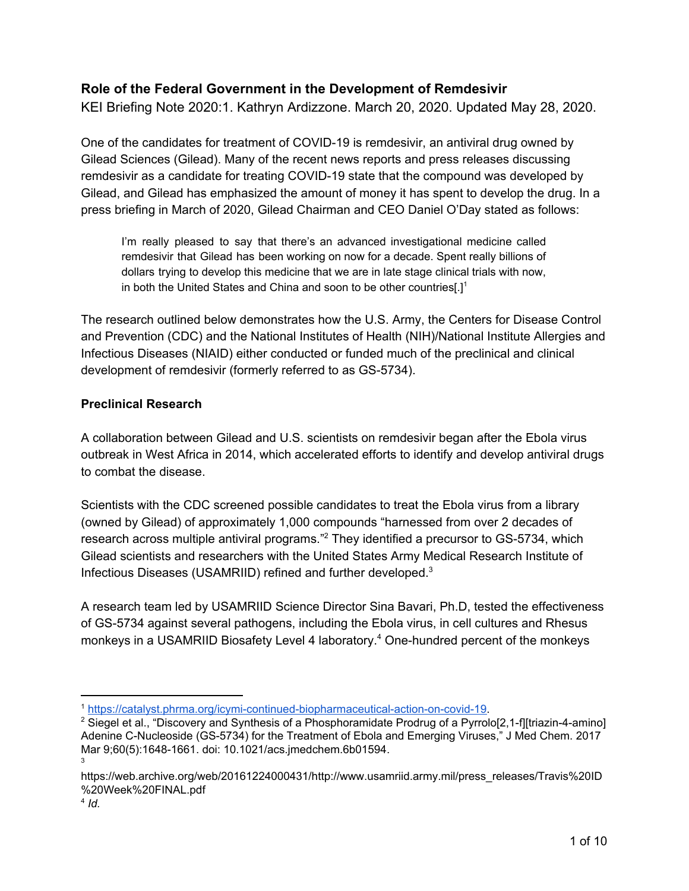## **Role of the Federal Government in the Development of Remdesivir**

KEI Briefing Note 2020:1. Kathryn Ardizzone. March 20, 2020. Updated May 28, 2020.

One of the candidates for treatment of COVID-19 is remdesivir, an antiviral drug owned by Gilead Sciences (Gilead). Many of the recent news reports and press releases discussing remdesivir as a candidate for treating COVID-19 state that the compound was developed by Gilead, and Gilead has emphasized the amount of money it has spent to develop the drug. In a press briefing in March of 2020, Gilead Chairman and CEO Daniel O'Day stated as follows:

I'm really pleased to say that there's an advanced investigational medicine called remdesivir that Gilead has been working on now for a decade. Spent really billions of dollars trying to develop this medicine that we are in late stage clinical trials with now, in both the United States and China and soon to be other countries[.] 1

The research outlined below demonstrates how the U.S. Army, the Centers for Disease Control and Prevention (CDC) and the National Institutes of Health (NIH)/National Institute Allergies and Infectious Diseases (NIAID) either conducted or funded much of the preclinical and clinical development of remdesivir (formerly referred to as GS-5734).

## **Preclinical Research**

A collaboration between Gilead and U.S. scientists on remdesivir began after the Ebola virus outbreak in West Africa in 2014, which accelerated efforts to identify and develop antiviral drugs to combat the disease.

Scientists with the CDC screened possible candidates to treat the Ebola virus from a library (owned by Gilead) of approximately 1,000 compounds "harnessed from over 2 decades of research across multiple antiviral programs."<sup>2</sup> They identified a precursor to GS-5734, which Gilead scientists and researchers with the United States Army Medical Research Institute of Infectious Diseases (USAMRIID) refined and further developed. 3

A research team led by USAMRIID Science Director Sina Bavari, Ph.D, tested the effectiveness of GS-5734 against several pathogens, including the Ebola virus, in cell cultures and Rhesus monkeys in a USAMRIID Biosafety Level 4 laboratory.<sup>4</sup> One-hundred percent of the monkeys

<sup>1</sup> [https://catalyst.phrma.org/icymi-continued-biopharmaceutical-action-on-covid-19.](https://catalyst.phrma.org/icymi-continued-biopharmaceutical-action-on-covid-19)

<sup>&</sup>lt;sup>2</sup> Siegel et al., "Discovery and Synthesis of a Phosphoramidate Prodrug of a Pyrrolo[2,1-f][triazin-4-amino] Adenine C-Nucleoside (GS-5734) for the Treatment of Ebola and Emerging Viruses," J Med Chem. 2017 Mar 9;60(5):1648-1661. doi: 10.1021/acs.jmedchem.6b01594. 3

https://web.archive.org/web/20161224000431/http://www.usamriid.army.mil/press\_releases/Travis%20ID %20Week%20FINAL.pdf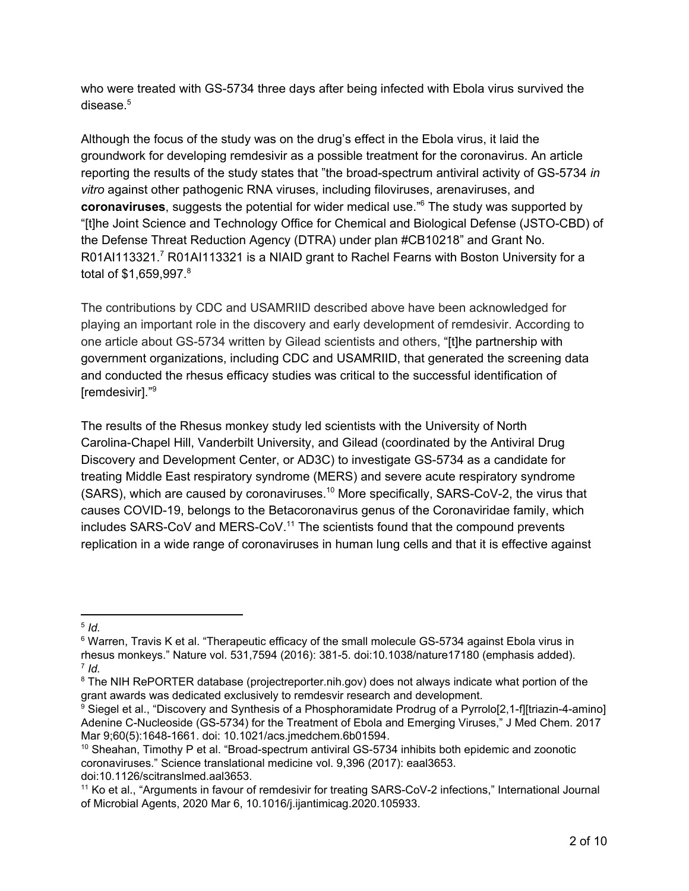who were treated with GS-5734 three days after being infected with Ebola virus survived the disease. 5

Although the focus of the study was on the drug's effect in the Ebola virus, it laid the groundwork for developing remdesivir as a possible treatment for the coronavirus. An article reporting the results of the study states that "the broad-spectrum antiviral activity of GS-5734 *in vitro* against other pathogenic RNA viruses, including filoviruses, arenaviruses, and coronaviruses, suggests the potential for wider medical use.<sup>"6</sup> The study was supported by "[t]he Joint Science and Technology Office for Chemical and Biological Defense (JSTO-CBD) of the Defense Threat Reduction Agency (DTRA) under plan #CB10218" and Grant No. R01AI113321.<sup>7</sup> R01AI113321 is a NIAID grant to Rachel Fearns with Boston University for a total of \$1,659,997. 8

The contributions by CDC and USAMRIID described above have been acknowledged for playing an important role in the discovery and early development of remdesivir. According to one article about GS-5734 written by Gilead scientists and others, "[t]he partnership with government organizations, including CDC and USAMRIID, that generated the screening data and conducted the rhesus efficacy studies was critical to the successful identification of [remdesivir]." 9

The results of the Rhesus monkey study led scientists with the University of North Carolina-Chapel Hill, Vanderbilt University, and Gilead (coordinated by the Antiviral Drug Discovery and Development Center, or AD3C) to investigate GS-5734 as a candidate for treating Middle East respiratory syndrome (MERS) and severe acute respiratory syndrome  $(SARS)$ , which are caused by coronaviruses.<sup>10</sup> More specifically, SARS-CoV-2, the virus that causes COVID-19, belongs to the Betacoronavirus genus of the Coronaviridae family, which includes  $SARS-CoV$  and MERS-CoV.<sup>11</sup> The scientists found that the compound prevents replication in a wide range of coronaviruses in human lung cells and that it is effective against

<sup>5</sup> *Id.*

<sup>&</sup>lt;sup>6</sup> Warren, Travis K et al. "Therapeutic efficacy of the small molecule GS-5734 against Ebola virus in rhesus monkeys." Nature vol. 531,7594 (2016): 381-5. doi:10.1038/nature17180 (emphasis added). 7 *Id.*

<sup>&</sup>lt;sup>8</sup> The NIH RePORTER database (projectreporter.nih.gov) does not always indicate what portion of the grant awards was dedicated exclusively to remdesvir research and development.

 $9$  Siegel et al., "Discovery and Synthesis of a Phosphoramidate Prodrug of a Pyrrolo[2,1-f][triazin-4-amino] Adenine C-Nucleoside (GS-5734) for the Treatment of Ebola and Emerging Viruses," J Med Chem. 2017 Mar 9;60(5):1648-1661. doi: 10.1021/acs.jmedchem.6b01594.

<sup>&</sup>lt;sup>10</sup> Sheahan, Timothy P et al. "Broad-spectrum antiviral GS-5734 inhibits both epidemic and zoonotic coronaviruses." Science translational medicine vol. 9,396 (2017): eaal3653. doi:10.1126/scitranslmed.aal3653.

<sup>11</sup> Ko et al., "Arguments in favour of remdesivir for treating SARS-CoV-2 infections," International Journal of Microbial Agents, 2020 Mar 6, 10.1016/j.ijantimicag.2020.105933.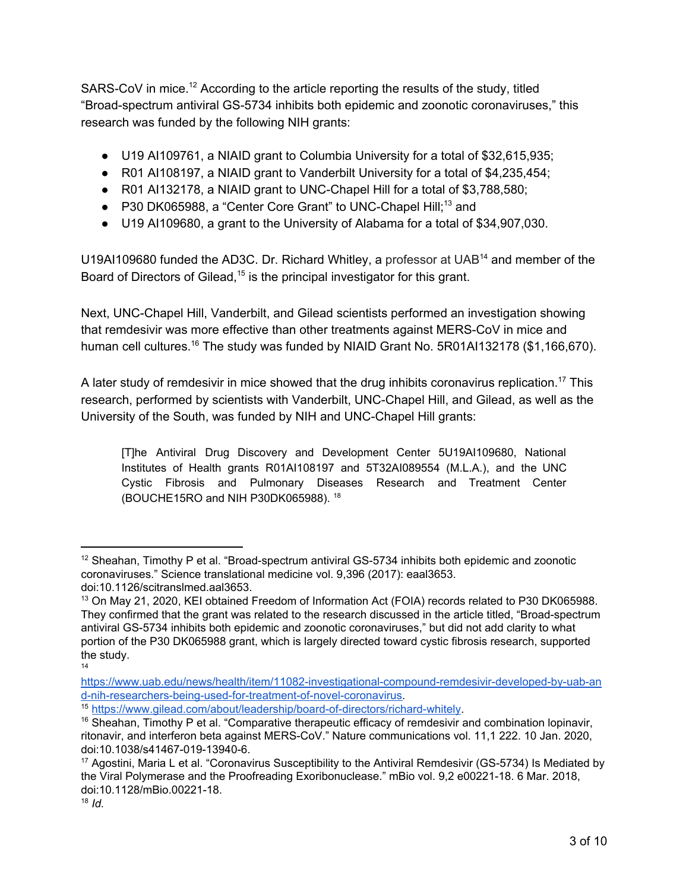SARS-CoV in mice.<sup>12</sup> According to the article reporting the results of the study, titled "Broad-spectrum antiviral GS-5734 inhibits both epidemic and zoonotic coronaviruses," this research was funded by the following NIH grants:

- U19 AI109761, a NIAID grant to Columbia University for a total of \$32,615,935;
- R01 AI108197, a NIAID grant to Vanderbilt University for a total of \$4,235,454;
- R01 AI132178, a NIAID grant to UNC-Chapel Hill for a total of \$3,788,580;
- $\bullet$  P30 DK065988, a "Center Core Grant" to UNC-Chapel Hill;<sup>13</sup> and
- U19 AI109680, a grant to the University of Alabama for a total of \$34,907,030.

U19AI109680 funded the AD3C. Dr. Richard Whitley, a professor at UAB $^{14}$  and member of the Board of Directors of Gilead,  $15$  is the principal investigator for this grant.

Next, UNC-Chapel Hill, Vanderbilt, and Gilead scientists performed an investigation showing that remdesivir was more effective than other treatments against MERS-CoV in mice and human cell cultures.<sup>16</sup> The study was funded by NIAID Grant No. 5R01AI132178 (\$1,166,670).

A later study of remdesivir in mice showed that the drug inhibits coronavirus replication.<sup>17</sup> This research, performed by scientists with Vanderbilt, UNC-Chapel Hill, and Gilead, as well as the University of the South, was funded by NIH and UNC-Chapel Hill grants:

[T]he Antiviral Drug Discovery and Development Center 5U19AI109680, National Institutes of Health grants R01AI108197 and 5T32AI089554 (M.L.A.), and the UNC Cystic Fibrosis and Pulmonary Diseases Research and Treatment Center (BOUCHE15RO and NIH P30DK065988). 18

14

 $12$  Sheahan, Timothy P et al. "Broad-spectrum antiviral GS-5734 inhibits both epidemic and zoonotic coronaviruses." Science translational medicine vol. 9,396 (2017): eaal3653. doi:10.1126/scitranslmed.aal3653.

<sup>13</sup> On May 21, 2020, KEI obtained Freedom of Information Act (FOIA) records related to P30 DK065988. They confirmed that the grant was related to the research discussed in the article titled, "Broad-spectrum antiviral GS-5734 inhibits both epidemic and zoonotic coronaviruses," but did not add clarity to what portion of the P30 DK065988 grant, which is largely directed toward cystic fibrosis research, supported the study.

[https://www.uab.edu/news/health/item/11082-investigational-compound-remdesivir-developed-by-uab-an](https://www.uab.edu/news/health/item/11082-investigational-compound-remdesivir-developed-by-uab-and-nih-researchers-being-used-for-treatment-of-novel-coronavirus) [d-nih-researchers-being-used-for-treatment-of-novel-coronavirus.](https://www.uab.edu/news/health/item/11082-investigational-compound-remdesivir-developed-by-uab-and-nih-researchers-being-used-for-treatment-of-novel-coronavirus)

<sup>15</sup> [https://www.gilead.com/about/leadership/board-of-directors/richard-whitely.](https://www.gilead.com/about/leadership/board-of-directors/richard-whitely)

 $16$  Sheahan, Timothy P et al. "Comparative therapeutic efficacy of remdesivir and combination lopinavir, ritonavir, and interferon beta against MERS-CoV." Nature communications vol. 11,1 222. 10 Jan. 2020, doi:10.1038/s41467-019-13940-6.

<sup>&</sup>lt;sup>17</sup> Agostini, Maria L et al. "Coronavirus Susceptibility to the Antiviral Remdesivir (GS-5734) Is Mediated by the Viral Polymerase and the Proofreading Exoribonuclease." mBio vol. 9,2 e00221-18. 6 Mar. 2018, doi:10.1128/mBio.00221-18.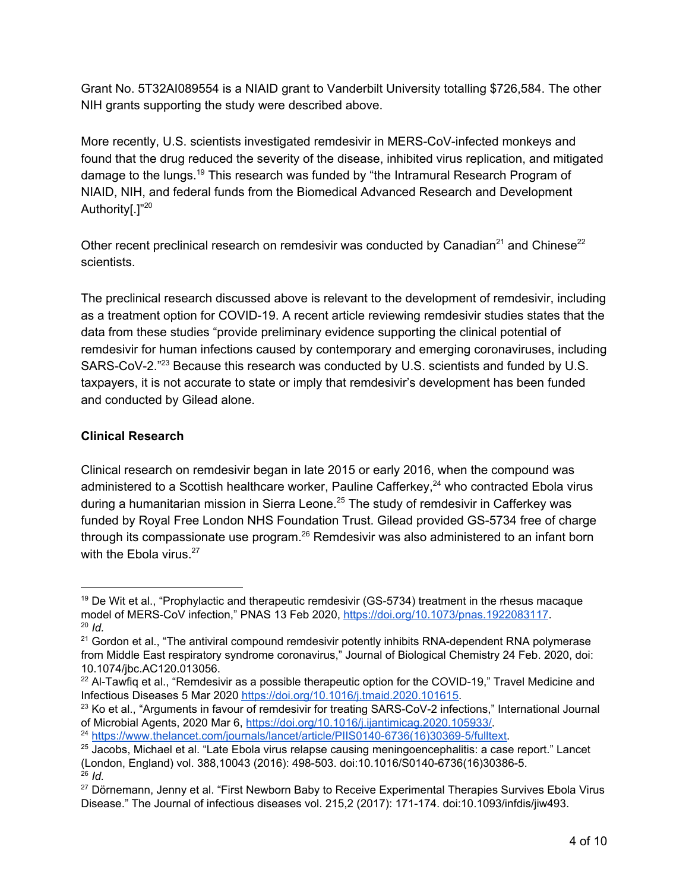Grant No. 5T32AI089554 is a NIAID grant to Vanderbilt University totalling \$726,584. The other NIH grants supporting the study were described above.

More recently, U.S. scientists investigated remdesivir in MERS-CoV-infected monkeys and found that the drug reduced the severity of the disease, inhibited virus replication, and mitigated damage to the lungs.<sup>19</sup> This research was funded by "the Intramural Research Program of NIAID, NIH, and federal funds from the Biomedical Advanced Research and Development Authority[.]"<sup>20</sup>

Other recent preclinical research on remdesivir was conducted by Canadian<sup>21</sup> and Chinese<sup>22</sup> scientists.

The preclinical research discussed above is relevant to the development of remdesivir, including as a treatment option for COVID-19. A recent article reviewing remdesivir studies states that the data from these studies "provide preliminary evidence supporting the clinical potential of remdesivir for human infections caused by contemporary and emerging coronaviruses, including SARS-CoV-2. $^{22}$  Because this research was conducted by U.S. scientists and funded by U.S. taxpayers, it is not accurate to state or imply that remdesivir's development has been funded and conducted by Gilead alone.

## **Clinical Research**

Clinical research on remdesivir began in late 2015 or early 2016, when the compound was administered to a Scottish healthcare worker, Pauline Cafferkey, $^{24}$  who contracted Ebola virus during a humanitarian mission in Sierra Leone.<sup>25</sup> The study of remdesivir in Cafferkey was funded by Royal Free London NHS Foundation Trust. Gilead provided GS-5734 free of charge through its compassionate use program. $26$  Remdesivir was also administered to an infant born with the Ebola virus.<sup>27</sup>

<sup>&</sup>lt;sup>19</sup> De Wit et al., "Prophylactic and therapeutic remdesivir (GS-5734) treatment in the rhesus macaque model of MERS-CoV infection," PNAS 13 Feb 2020, [https://doi.org/10.1073/pnas.1922083117.](https://doi.org/10.1073/pnas.1922083117) <sup>20</sup> *Id.*

<sup>&</sup>lt;sup>21</sup> Gordon et al., "The antiviral compound remdesivir potently inhibits RNA-dependent RNA polymerase from Middle East respiratory syndrome coronavirus," Journal of Biological Chemistry 24 Feb. 2020, doi: 10.1074/jbc.AC120.013056.

 $22$  Al-Tawfiq et al., "Remdesivir as a possible therapeutic option for the COVID-19," Travel Medicine and Infectious Diseases 5 Mar 2020 [https://doi.org/10.1016/j.tmaid.2020.101615.](https://doi.org/10.1016/j.tmaid.2020.101615)

<sup>&</sup>lt;sup>23</sup> Ko et al., "Arguments in favour of remdesivir for treating SARS-CoV-2 infections," International Journal of Microbial Agents, 2020 Mar 6, <https://doi.org/10.1016/j.ijantimicag.2020.105933/>.

<sup>&</sup>lt;sup>24</sup> [https://www.thelancet.com/journals/lancet/article/PIIS0140-6736\(16\)30369-5/fulltext.](https://www.thelancet.com/journals/lancet/article/PIIS0140-6736(16)30369-5/fulltext)

<sup>&</sup>lt;sup>25</sup> Jacobs, Michael et al. "Late Ebola virus relapse causing meningoencephalitis: a case report." Lancet (London, England) vol. 388,10043 (2016): 498-503. doi:10.1016/S0140-6736(16)30386-5. <sup>26</sup> *Id.*

<sup>27</sup> Dörnemann, Jenny et al. "First Newborn Baby to Receive Experimental Therapies Survives Ebola Virus Disease." The Journal of infectious diseases vol. 215,2 (2017): 171-174. doi:10.1093/infdis/jiw493.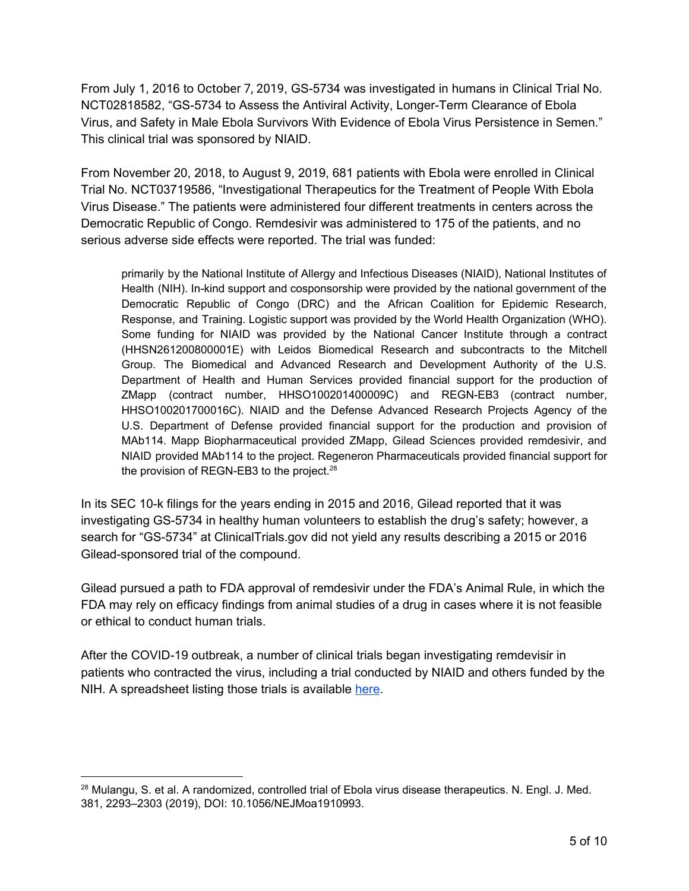From July 1, 2016 to October 7, 2019, GS-5734 was investigated in humans in Clinical Trial No. NCT02818582, "GS-5734 to Assess the Antiviral Activity, Longer-Term Clearance of Ebola Virus, and Safety in Male Ebola Survivors With Evidence of Ebola Virus Persistence in Semen." This clinical trial was sponsored by NIAID.

From November 20, 2018, to August 9, 2019, 681 patients with Ebola were enrolled in Clinical Trial No. NCT03719586, "Investigational Therapeutics for the Treatment of People With Ebola Virus Disease." The patients were administered four different treatments in centers across the Democratic Republic of Congo. Remdesivir was administered to 175 of the patients, and no serious adverse side effects were reported. The trial was funded:

primarily by the National Institute of Allergy and Infectious Diseases (NIAID), National Institutes of Health (NIH). In-kind support and cosponsorship were provided by the national government of the Democratic Republic of Congo (DRC) and the African Coalition for Epidemic Research, Response, and Training. Logistic support was provided by the World Health Organization (WHO). Some funding for NIAID was provided by the National Cancer Institute through a contract (HHSN261200800001E) with Leidos Biomedical Research and subcontracts to the Mitchell Group. The Biomedical and Advanced Research and Development Authority of the U.S. Department of Health and Human Services provided financial support for the production of ZMapp (contract number, HHSO100201400009C) and REGN-EB3 (contract number, HHSO100201700016C). NIAID and the Defense Advanced Research Projects Agency of the U.S. Department of Defense provided financial support for the production and provision of MAb114. Mapp Biopharmaceutical provided ZMapp, Gilead Sciences provided remdesivir, and NIAID provided MAb114 to the project. Regeneron Pharmaceuticals provided financial support for the provision of REGN-EB3 to the project.<sup>28</sup>

In its SEC 10-k filings for the years ending in 2015 and 2016, Gilead reported that it was investigating GS-5734 in healthy human volunteers to establish the drug's safety; however, a search for "GS-5734" at ClinicalTrials.gov did not yield any results describing a 2015 or 2016 Gilead-sponsored trial of the compound.

Gilead pursued a path to FDA approval of remdesivir under the FDA's Animal Rule, in which the FDA may rely on efficacy findings from animal studies of a drug in cases where it is not feasible or ethical to conduct human trials.

After the COVID-19 outbreak, a number of clinical trials began investigating remdevisir in patients who contracted the virus, including a trial conducted by NIAID and others funded by the NIH. A spreadsheet listing those trials is available [here.](https://docs.google.com/spreadsheets/d/1TrWAz_HM6LIZ4ZeRS9YkbprANRMtQDMcErNkQRouNUE/edit?ts=5e74e102#gid=1078392435)

<sup>&</sup>lt;sup>28</sup> Mulangu, S. et al. A randomized, controlled trial of Ebola virus disease therapeutics. N. Engl. J. Med. 381, 2293–2303 (2019), DOI: 10.1056/NEJMoa1910993.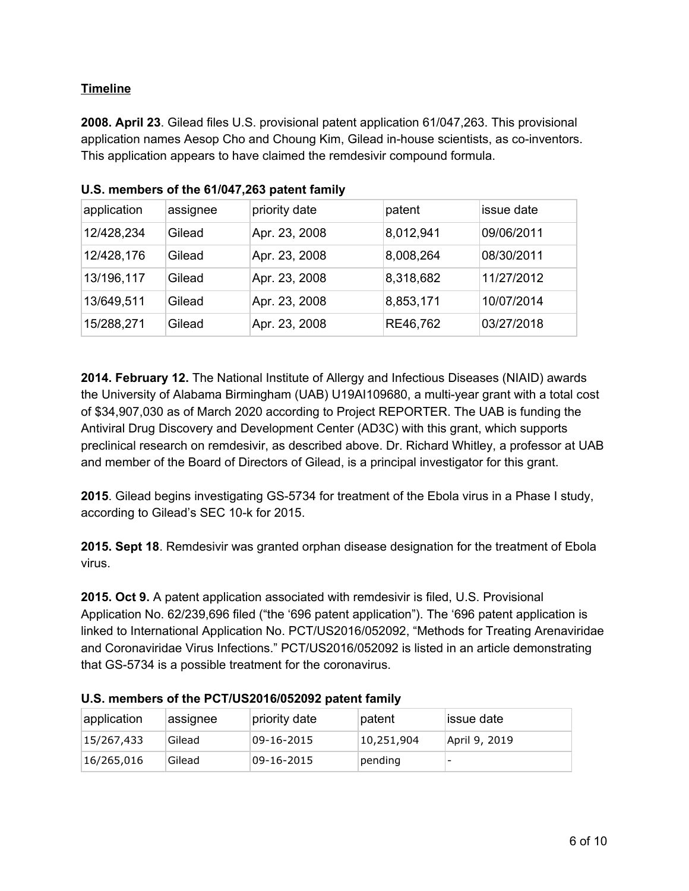## **Timeline**

**2008. April 23**. Gilead files U.S. provisional patent application 61/047,263. This provisional application names Aesop Cho and Choung Kim, Gilead in-house scientists, as co-inventors. This application appears to have claimed the remdesivir compound formula.

| application | assignee | priority date | patent    | issue date |
|-------------|----------|---------------|-----------|------------|
| 12/428,234  | Gilead   | Apr. 23, 2008 | 8,012,941 | 09/06/2011 |
| 12/428,176  | Gilead   | Apr. 23, 2008 | 8,008,264 | 08/30/2011 |
| 13/196,117  | Gilead   | Apr. 23, 2008 | 8,318,682 | 11/27/2012 |
| 13/649,511  | Gilead   | Apr. 23, 2008 | 8,853,171 | 10/07/2014 |
| 15/288,271  | Gilead   | Apr. 23, 2008 | RE46,762  | 03/27/2018 |

**U.S. members of the 61/047,263 patent family**

**2014. February 12.** The National Institute of Allergy and Infectious Diseases (NIAID) awards the University of Alabama Birmingham (UAB) U19AI109680, a multi-year grant with a total cost of \$34,907,030 as of March 2020 according to Project REPORTER. The UAB is funding the Antiviral Drug Discovery and Development Center (AD3C) with this grant, which supports preclinical research on remdesivir, as described above. Dr. Richard Whitley, a professor at UAB and member of the Board of Directors of Gilead, is a principal investigator for this grant.

**2015**. Gilead begins investigating GS-5734 for treatment of the Ebola virus in a Phase I study, according to Gilead's SEC 10-k for 2015.

**2015. Sept 18**. Remdesivir was granted orphan disease designation for the treatment of Ebola virus.

**2015. Oct 9.** A patent application associated with remdesivir is filed, U.S. Provisional Application No. 62/239,696 filed ("the '696 patent application"). The '696 patent application is linked to International Application No. PCT/US2016/052092, "Methods for Treating Arenaviridae and Coronaviridae Virus Infections." PCT/US2016/052092 is listed in an article demonstrating that GS-5734 is a possible treatment for the coronavirus.

| application | assignee | priority date | patent     | lissue date              |  |
|-------------|----------|---------------|------------|--------------------------|--|
| 15/267,433  | Gilead   | 09-16-2015    | 10,251,904 | April 9, 2019            |  |
| 16/265,016  | Gilead   | 09-16-2015    | pending    | $\overline{\phantom{0}}$ |  |

**U.S. members of the PCT/US2016/052092 patent family**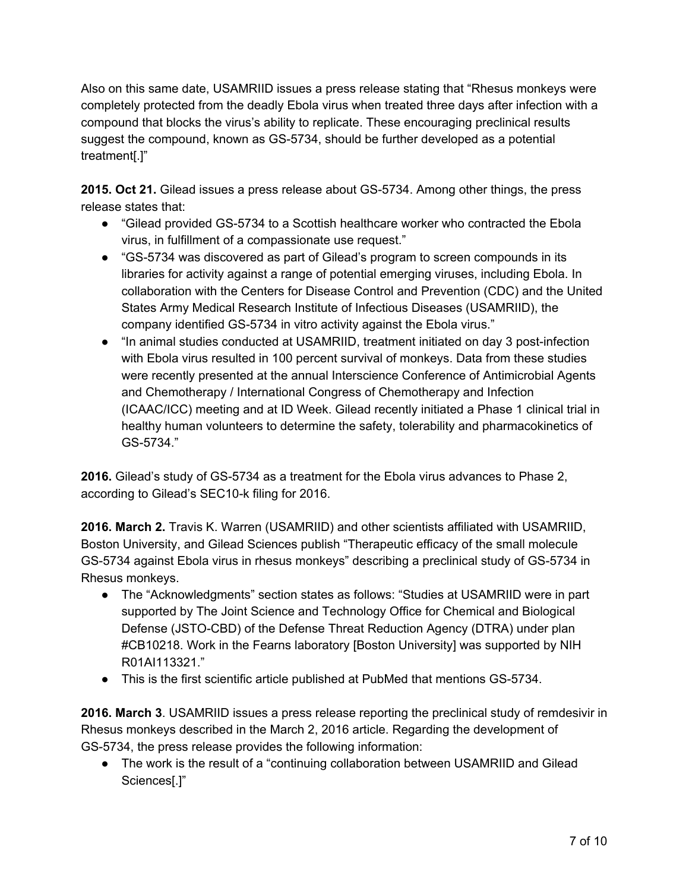Also on this same date, USAMRIID issues a press release stating that "Rhesus monkeys were completely protected from the deadly Ebola virus when treated three days after infection with a compound that blocks the virus's ability to replicate. These encouraging preclinical results suggest the compound, known as GS-5734, should be further developed as a potential treatment[.]"

**2015. Oct 21.** Gilead issues a press release about GS-5734. Among other things, the press release states that:

- "Gilead provided GS-5734 to a Scottish healthcare worker who contracted the Ebola virus, in fulfillment of a compassionate use request."
- "GS-5734 was discovered as part of Gilead's program to screen compounds in its libraries for activity against a range of potential emerging viruses, including Ebola. In collaboration with the Centers for Disease Control and Prevention (CDC) and the United States Army Medical Research Institute of Infectious Diseases (USAMRIID), the company identified GS-5734 in vitro activity against the Ebola virus."
- "In animal studies conducted at USAMRIID, treatment initiated on day 3 post-infection with Ebola virus resulted in 100 percent survival of monkeys. Data from these studies were recently presented at the annual Interscience Conference of Antimicrobial Agents and Chemotherapy / International Congress of Chemotherapy and Infection (ICAAC/ICC) meeting and at ID Week. Gilead recently initiated a Phase 1 clinical trial in healthy human volunteers to determine the safety, tolerability and pharmacokinetics of GS-5734."

**2016.** Gilead's study of GS-5734 as a treatment for the Ebola virus advances to Phase 2, according to Gilead's SEC10-k filing for 2016.

**2016. March 2.** Travis K. [Warren](https://www.nature.com/articles/nature17180#auth-1) (USAMRIID) and other scientists affiliated with USAMRIID, Boston University, and Gilead Sciences publish "Therapeutic efficacy of the small molecule GS-5734 against Ebola virus in rhesus monkeys" describing a preclinical study of GS-5734 in Rhesus monkeys.

- The "Acknowledgments" section states as follows: "Studies at USAMRIID were in part supported by The Joint Science and Technology Office for Chemical and Biological Defense (JSTO-CBD) of the Defense Threat Reduction Agency (DTRA) under plan #CB10218. Work in the Fearns laboratory [Boston University] was supported by NIH R01AI113321."
- This is the first scientific article published at PubMed that mentions GS-5734.

**2016. March 3**. USAMRIID issues a press release reporting the preclinical study of remdesivir in Rhesus monkeys described in the March 2, 2016 article. Regarding the development of GS-5734, the press release provides the following information:

● The work is the result of a "continuing collaboration between USAMRIID and Gilead Sciences[.]"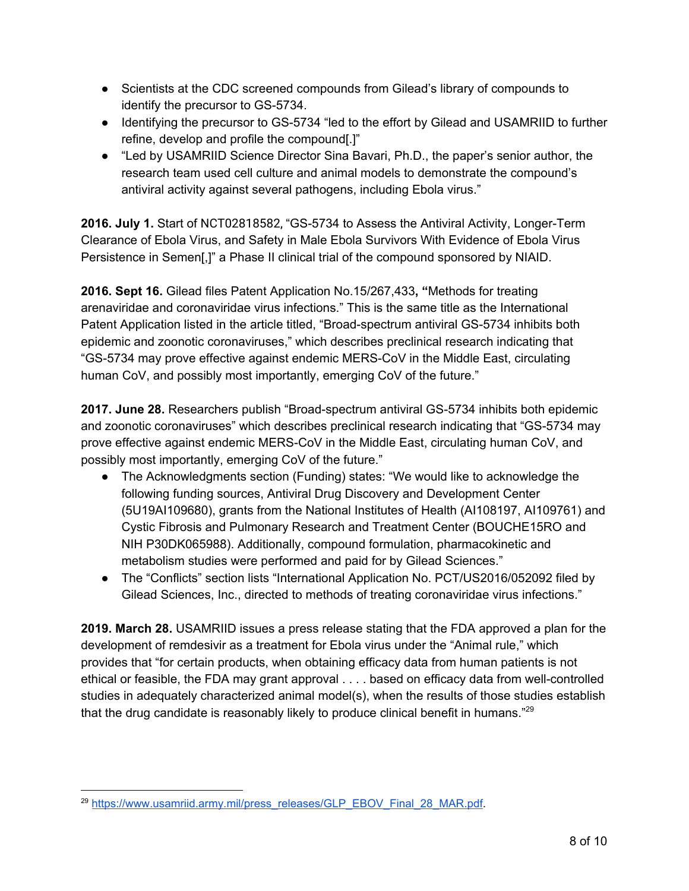- Scientists at the CDC screened compounds from Gilead's library of compounds to identify the precursor to GS-5734.
- Identifying the precursor to GS-5734 "led to the effort by Gilead and USAMRIID to further refine, develop and profile the compound[.]"
- "Led by USAMRIID Science Director Sina Bavari, Ph.D., the paper's senior author, the research team used cell culture and animal models to demonstrate the compound's antiviral activity against several pathogens, including Ebola virus."

**2016. July 1.** Start of NCT02818582, "GS-5734 to Assess the Antiviral Activity, Longer-Term Clearance of Ebola Virus, and Safety in Male Ebola Survivors With Evidence of Ebola Virus Persistence in Semen[,]" a Phase II clinical trial of the compound sponsored by NIAID.

**2016. Sept 16.** Gilead files Patent Application No.15/267,433**, "**Methods for treating arenaviridae and coronaviridae virus infections." This is the same title as the International Patent Application listed in the article titled, "Broad-spectrum antiviral GS-5734 inhibits both epidemic and zoonotic coronaviruses," which describes preclinical research indicating that "GS-5734 may prove effective against endemic MERS-CoV in the Middle East, circulating human CoV, and possibly most importantly, emerging CoV of the future."

**2017. June 28.** Researchers publish "Broad-spectrum antiviral GS-5734 inhibits both epidemic and zoonotic coronaviruses" which describes preclinical research indicating that "GS-5734 may prove effective against endemic MERS-CoV in the Middle East, circulating human CoV, and possibly most importantly, emerging CoV of the future."

- The Acknowledgments section (Funding) states: "We would like to acknowledge the following funding sources, Antiviral Drug Discovery and Development Center (5U19AI109680), grants from the National Institutes of Health (AI108197, AI109761) and Cystic Fibrosis and Pulmonary Research and Treatment Center (BOUCHE15RO and NIH P30DK065988). Additionally, compound formulation, pharmacokinetic and metabolism studies were performed and paid for by Gilead Sciences."
- The "Conflicts" section lists "International Application No. PCT/US2016/052092 filed by Gilead Sciences, Inc., directed to methods of treating coronaviridae virus infections."

**2019. March 28.** USAMRIID issues a press release stating that the FDA approved a plan for the development of remdesivir as a treatment for Ebola virus under the "Animal rule," which provides that "for certain products, when obtaining efficacy data from human patients is not ethical or feasible, the FDA may grant approval . . . . based on efficacy data from well-controlled studies in adequately characterized animal model(s), when the results of those studies establish that the drug candidate is reasonably likely to produce clinical benefit in humans."<sup>29</sup>

<sup>&</sup>lt;sup>29</sup> [https://www.usamriid.army.mil/press\\_releases/GLP\\_EBOV\\_Final\\_28\\_MAR.pdf](https://www.usamriid.army.mil/press_releases/GLP_EBOV_Final_28_MAR.pdf).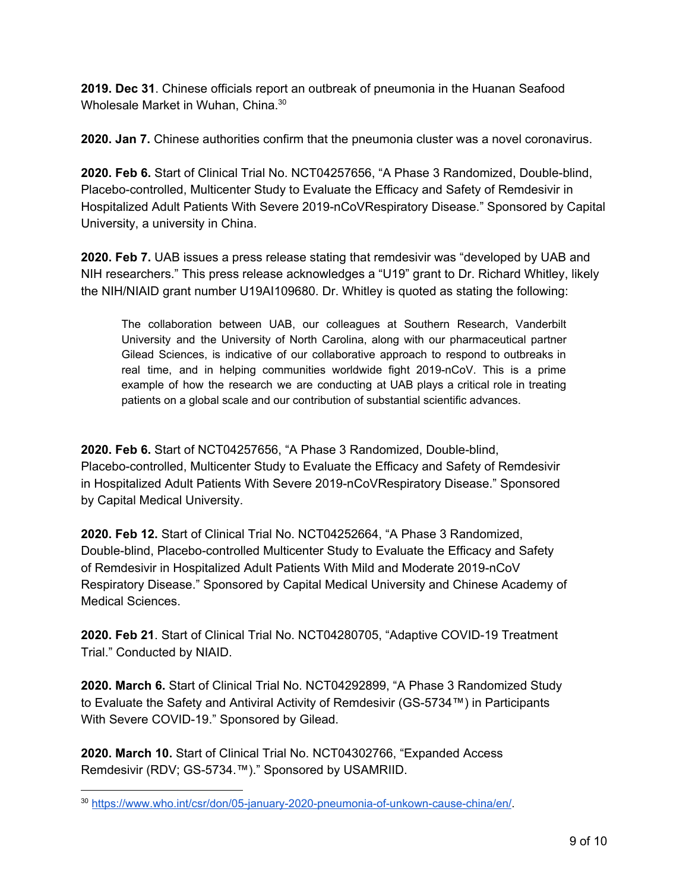**2019. Dec 31**. Chinese officials report an outbreak of pneumonia in the Huanan Seafood Wholesale Market in Wuhan, China.<sup>30</sup>

**2020. Jan 7.** Chinese authorities confirm that the pneumonia cluster was a novel coronavirus.

**2020. Feb 6.** Start of Clinical Trial No. NCT04257656, "A Phase 3 Randomized, Double-blind, Placebo-controlled, Multicenter Study to Evaluate the Efficacy and Safety of Remdesivir in Hospitalized Adult Patients With Severe 2019-nCoVRespiratory Disease." Sponsored by Capital University, a university in China.

**2020. Feb 7.** UAB issues a press release stating that remdesivir was "developed by UAB and NIH researchers." This press release acknowledges a "U19" grant to Dr. Richard Whitley, likely the NIH/NIAID grant number U19AI109680. Dr. Whitley is quoted as stating the following:

The collaboration between UAB, our colleagues at Southern Research, Vanderbilt University and the University of North Carolina, along with our pharmaceutical partner Gilead Sciences, is indicative of our collaborative approach to respond to outbreaks in real time, and in helping communities worldwide fight 2019-nCoV. This is a prime example of how the research we are conducting at UAB plays a critical role in treating patients on a global scale and our contribution of substantial scientific advances.

**2020. Feb 6.** Start of NCT04257656, "A Phase 3 Randomized, Double-blind, Placebo-controlled, Multicenter Study to Evaluate the Efficacy and Safety of Remdesivir in Hospitalized Adult Patients With Severe 2019-nCoVRespiratory Disease." Sponsored by Capital Medical University.

**2020. Feb 12.** Start of Clinical Trial No. NCT04252664, "A Phase 3 Randomized, Double-blind, Placebo-controlled Multicenter Study to Evaluate the Efficacy and Safety of Remdesivir in Hospitalized Adult Patients With Mild and Moderate 2019-nCoV Respiratory Disease." Sponsored by Capital Medical University and Chinese Academy of Medical Sciences.

**2020. Feb 21**. Start of Clinical Trial No. NCT04280705, "Adaptive COVID-19 Treatment Trial." Conducted by NIAID.

**2020. March 6.** Start of Clinical Trial No. NCT04292899, "A Phase 3 Randomized Study to Evaluate the Safety and Antiviral Activity of Remdesivir (GS-5734™) in Participants With Severe COVID-19." Sponsored by Gilead.

**2020. March 10.** Start of Clinical Trial No. NCT04302766, "Expanded Access Remdesivir (RDV; GS-5734.™)." Sponsored by USAMRIID.

<sup>30</sup> <https://www.who.int/csr/don/05-january-2020-pneumonia-of-unkown-cause-china/en/>.